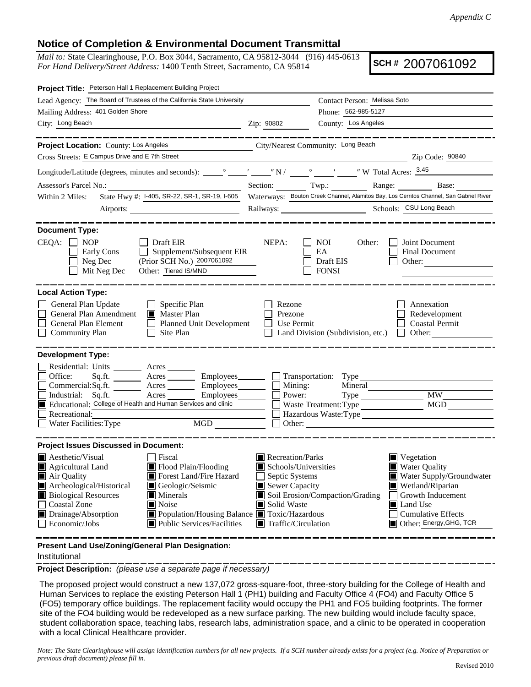## **Notice of Completion & Environmental Document Transmittal**

*Mail to:* State Clearinghouse, P.O. Box 3044, Sacramento, CA 95812-3044 (916) 445-0613 *For Hand Delivery/Street Address:* 1400 Tenth Street, Sacramento, CA 95814

**SCH #** 2007061092

| Project Title: Peterson Hall 1 Replacement Building Project                                                                                                                                                                                                                                                                                                                                            |                                                                                                                                          |                                                                                                                                                                                                                |  |  |
|--------------------------------------------------------------------------------------------------------------------------------------------------------------------------------------------------------------------------------------------------------------------------------------------------------------------------------------------------------------------------------------------------------|------------------------------------------------------------------------------------------------------------------------------------------|----------------------------------------------------------------------------------------------------------------------------------------------------------------------------------------------------------------|--|--|
| Lead Agency: The Board of Trustees of the California State University                                                                                                                                                                                                                                                                                                                                  |                                                                                                                                          | Contact Person: Melissa Soto                                                                                                                                                                                   |  |  |
| Mailing Address: 401 Golden Shore                                                                                                                                                                                                                                                                                                                                                                      |                                                                                                                                          | Phone: 562-985-5127                                                                                                                                                                                            |  |  |
| City: Long Beach<br><u> 1989 - Johann Barn, amerikansk politiker (</u>                                                                                                                                                                                                                                                                                                                                 | Zip: 90802                                                                                                                               | County: Los Angeles                                                                                                                                                                                            |  |  |
| _________                                                                                                                                                                                                                                                                                                                                                                                              |                                                                                                                                          | ______________                                                                                                                                                                                                 |  |  |
| Project Location: County: Los Angeles                                                                                                                                                                                                                                                                                                                                                                  |                                                                                                                                          | City/Nearest Community: Long Beach                                                                                                                                                                             |  |  |
| Cross Streets: E Campus Drive and E 7th Street                                                                                                                                                                                                                                                                                                                                                         |                                                                                                                                          | Zip Code: 90840                                                                                                                                                                                                |  |  |
|                                                                                                                                                                                                                                                                                                                                                                                                        |                                                                                                                                          |                                                                                                                                                                                                                |  |  |
| Assessor's Parcel No.: Base: Base: Base: Base: Base: Base: Base: Base: Base: Base: Base: Base: Base: Base: Base: Base: Base: Base: Base: Base: Base: Base: Base: Base: Base: Base: Base: Base: Base: Base: Base: Base: Base: B                                                                                                                                                                         |                                                                                                                                          |                                                                                                                                                                                                                |  |  |
| State Hwy #: 1-405, SR-22, SR-1, SR-19, 1-605 Waterways: Bouton Creek Channel, Alamitos Bay, Los Cerritos Channel, San Gabriel River<br>Within 2 Miles:                                                                                                                                                                                                                                                |                                                                                                                                          |                                                                                                                                                                                                                |  |  |
| Airports:                                                                                                                                                                                                                                                                                                                                                                                              |                                                                                                                                          |                                                                                                                                                                                                                |  |  |
|                                                                                                                                                                                                                                                                                                                                                                                                        |                                                                                                                                          |                                                                                                                                                                                                                |  |  |
| <b>Document Type:</b><br>$CEQA: \Box NOP$<br>$\Box$ Draft EIR<br>Supplement/Subsequent EIR<br>Early Cons<br>(Prior SCH No.) 2007061092<br>Neg Dec<br>Mit Neg Dec<br>Other: Tiered IS/MND                                                                                                                                                                                                               | NEPA:                                                                                                                                    | Joint Document<br>NOI<br>Other:<br>EA<br>Final Document<br>Draft EIS<br>Other: $\qquad \qquad$<br><b>FONSI</b>                                                                                                 |  |  |
| <b>Local Action Type:</b><br>General Plan Update<br>$\Box$ Specific Plan<br>General Plan Amendment<br>Master Plan<br>General Plan Element<br>$\Box$ Planned Unit Development<br><b>Community Plan</b><br>$\Box$ Site Plan                                                                                                                                                                              | Rezone<br>Prezone<br>Use Permit                                                                                                          | Annexation<br>Redevelopment<br><b>Coastal Permit</b><br>Land Division (Subdivision, etc.) $\Box$ Other:                                                                                                        |  |  |
| <b>Development Type:</b>                                                                                                                                                                                                                                                                                                                                                                               |                                                                                                                                          |                                                                                                                                                                                                                |  |  |
| Residential: Units _________ Acres _______<br>Office:<br>Sq.ft. ________ Acres _________ Employees ________ __ Transportation: Type ____<br>Commercial:Sq.ft. _________ Acres __________ Employees _______<br>Acres Employees<br>Industrial:<br>Sq.ft.<br>Educational: College of Health and Human Services and clinic<br>Recreational:<br>MGD<br>Water Facilities: Type                               | Mining:<br>Power:                                                                                                                        | Mineral<br>MW<br><b>MGD</b><br>Waste Treatment: Type<br>Hazardous Waste: Type                                                                                                                                  |  |  |
| <b>Project Issues Discussed in Document:</b>                                                                                                                                                                                                                                                                                                                                                           |                                                                                                                                          |                                                                                                                                                                                                                |  |  |
| $\blacksquare$ Aesthetic/Visual<br><b>Fiscal</b><br>Agricultural Land<br>Flood Plain/Flooding<br>Forest Land/Fire Hazard<br>Air Quality<br>Archeological/Historical<br>Geologic/Seismic<br><b>Biological Resources</b><br>Minerals<br><b>Coastal Zone</b><br><b>■</b> Noise<br>Population/Housing Balance Toxic/Hazardous<br>Drainage/Absorption<br>Economic/Jobs<br><b>Public Services/Facilities</b> | Recreation/Parks<br>Schools/Universities<br>Septic Systems<br><b>Sewer Capacity</b><br>Solid Waste<br>$\blacksquare$ Traffic/Circulation | Vegetation<br><b>Water Quality</b><br>Water Supply/Groundwater<br>Wetland/Riparian<br>Soil Erosion/Compaction/Grading<br>Growth Inducement<br>Land Use<br><b>Cumulative Effects</b><br>Other: Energy, GHG, TCR |  |  |
| Present Land Use/Zoning/General Plan Designation:                                                                                                                                                                                                                                                                                                                                                      |                                                                                                                                          |                                                                                                                                                                                                                |  |  |

Institutional

**Project Description:** *(please use a separate page if necessary)*

 The proposed project would construct a new 137,072 gross-square-foot, three-story building for the College of Health and Human Services to replace the existing Peterson Hall 1 (PH1) building and Faculty Office 4 (FO4) and Faculty Office 5 (FO5) temporary office buildings. The replacement facility would occupy the PH1 and FO5 building footprints. The former site of the FO4 building would be redeveloped as a new surface parking. The new building would include faculty space, student collaboration space, teaching labs, research labs, administration space, and a clinic to be operated in cooperation with a local Clinical Healthcare provider.

*Note: The State Clearinghouse will assign identification numbers for all new projects. If a SCH number already exists for a project (e.g. Notice of Preparation or previous draft document) please fill in.*